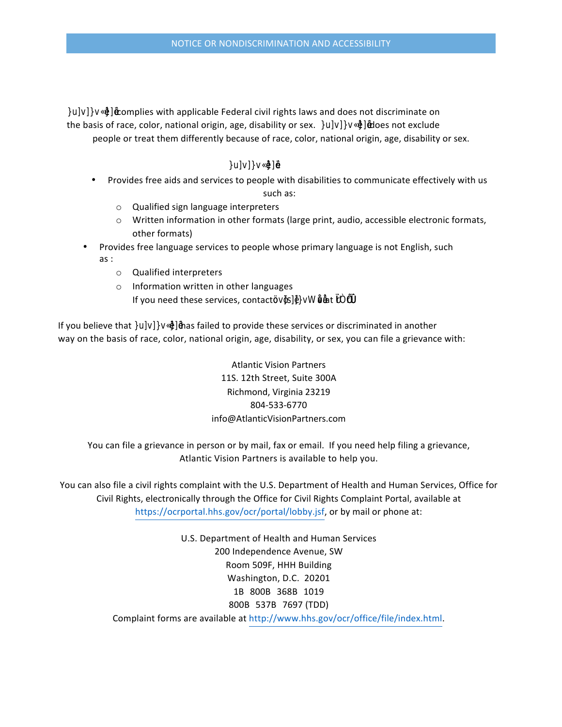complies with applicable Federal civil rights laws and does not discriminate on

the basis of race, color, national origin, age, disability or sex. 国函图图图图图图图 does not exclude people or treat them differently because of race, color, national origin, age, disability or sex.

## Bố/K/BK**m**eB/222 :

- Provides free aids and services to people with disabilities to communicate effectively with us
	- such as:
	- o Qualified sign language interpreters  $\circ$  Written information in other formats (large print, audio, accessible electronic formats,
- Provides free language services to people whose primary language is not English, such  $as:$ 
	- $\circ$  Qualified interpreters

other formats)

 $\circ$  Information written in other languages If you need these services, contact函图函函函图图图图图图图图 at **图图图** 

If you believe that **BOZEZBEER EXEE** has failed to provide these services or discriminated in another way on the basis of race, color, national origin, age, disability, or sex, you can file a grievance with:

> Atlantic Vision Partners 11S. 12th Street, Suite 300A Richmond, Virginia 23219 804-533-6770 info@AtlanticVisionPartners.com

You can file a grievance in person or by mail, fax or email. If you need help filing a grievance, Atlantic Vision Partners is available to help you.

You can also file a civil rights complaint with the U.S. Department of Health and Human Services, Office for Civil Rights, electronically through the Office for Civil Rights Complaint Portal, available at https://ocrportal.hhs.gov/ocr/portal/lobby.jsf, or by mail or phone at:

> U.S. Department of Health and Human Services 200 Independence Avenue, SW Room 509F, HHH Building Washington, D.C. 20201 1B 800B 368B 1019 800B 537B 7697 (TDD) Complaint forms are available at http://www.hhs.gov/ocr/office/file/index.html.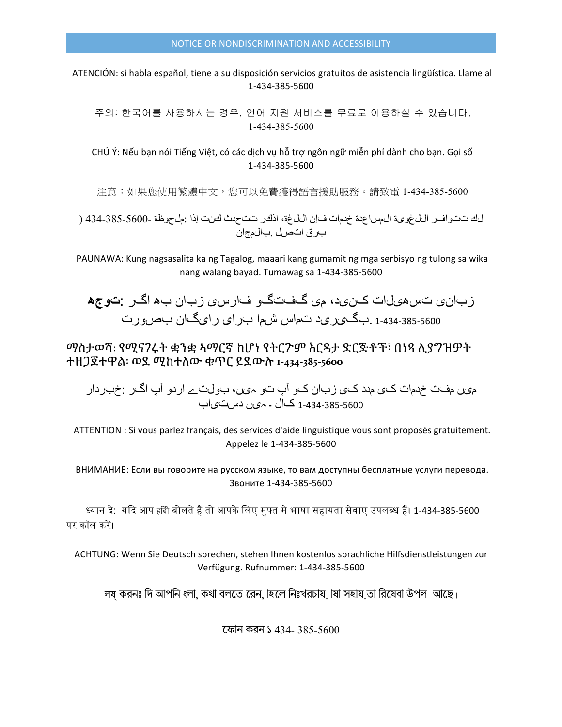ATENCIÓN: si habla español, tiene a su disposición servicios gratuitos de asistencia lingüística. Llame al 1-434-385-5600

주의: 한국어를 사용하시는 경우, 언어 지원 서비스를 무료로 이용하실 수 있습니다. 1-434-385-5600

CHÚ Ý: Nếu bạn nói Tiếng Việt, có các dịch vụ hỗ trợ ngôn ngữ miễn phí dành cho bạn. Gọi số 1-434-385-5600

注意:如果您使用繁體中文,您可以免費獲得語言援助服務。請致電 1-434-385-5600

لك تتوافر اللغوية المساعدة خدمات فإن اللغة، اذكر تتحدث كنت إذا :ملحوظة -5600-385-434 ( برق اتصل .بالمجان

PAUNAWA: Kung nagsasalita ka ng Tagalog, maaari kang gumamit ng mga serbisyo ng tulong sa wika nang walang bayad. Tumawag sa 1-434-385-5600

زبانی تسھیلات کنید، می گفتگو فارسی زبان بھ اگر :**توجھ** 1-434-385-5600 .بگیرید تماس شما برای رایگان بصورت

ማስታወሻ: የሚናገሩት ቋንቋ ኣማርኛ ከሆነ የትርጉም እርዳታ ድርጅቶች፣ በነጻ ሊያግዝዎት ተዘጋጀተዋል፡ ወደ ሚከተለው ቁጥር ይደውሉ **1-434-385-5600**

میں مفت خدمات کی مدد کی زبان کو آپ تو ہیں، بولتے اردو آپ اگر :خبردار 1-434-385-5600 کال ۔ ہیں دستیاب

ATTENTION : Si vous parlez français, des services d'aide linguistique vous sont proposés gratuitement. Appelez le 1-434-385-5600

ВНИМАНИЕ: Если вы говорите на русском языке, то вам доступны бесплатные услуги перевода. Звоните 1-434-385-5600

ध्यान दें: यदि आप हबि बोलते हैं तो आपके लिए मुफ्त में भाषा सहायता सेवाएं उपलब्ध हैं। 1-434-385-5600 पर कॉल करें।

ACHTUNG: Wenn Sie Deutsch sprechen, stehen Ihnen kostenlos sprachliche Hilfsdienstleistungen zur Verfügung. Rufnummer: 1-434-385-5600

লয় করনঃ দি আপনি ংলা, কথা বলতে রেন, াহলে নিঃখরচায়, াষা সহায় তা রিষেবা উপল আছে।

েফান করন ১ 434- 385-5600